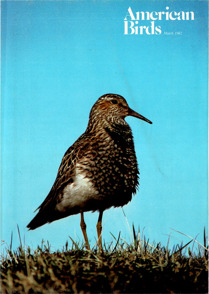# American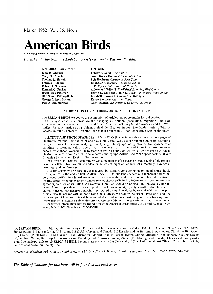**March 1982, Vol. 36, No. 2** 

# **American Birds**

**A bimonthly journal devoted to the birds of the Americas** 

**Published by the National Audubon Society/.Russell W. Peterson, Publisher** 

| <b>EDITORIAL ADVISORS</b>   | <b>EDITORS</b>                                                       |
|-----------------------------|----------------------------------------------------------------------|
| John W. Aldrich             | Robert S. Arbib, Jr./ Editor                                         |
| Mary H. Clench              | <b>Susan Roney Drennan</b> / Associate Editor                        |
| <b>Thomas R. Howell</b>     | Lois Heilbrun/ Christmas Bird Count                                  |
| <b>Frances C. James</b>     | <b>Chandler S. Robbins/ Technical Editor</b>                         |
| Robert J. Newman            | <b>J. P. Myers/Editor, Special Projects</b>                          |
| <b>Kenneth C. Parkes</b>    | <b>Aldeen and Willet T. VanVelzen/ Breeding Bird Censuses</b>        |
| <b>Roger Tory Peterson</b>  | Calvin L. Cink and Roger L. Boyd/ Winter Bird-Populations            |
| Olin Sewall Pettingill, Jr. | <b>Elisabeth Lawatsch/ Circulation Manager</b>                       |
| <b>George Miksch Sutton</b> | <b>Karen Slotnick</b> / Assistant Editor                             |
| Dale A. Zimmerman           | <b>Anne Wagner</b> / <i>Advertising</i> ; <i>Editorial Assistant</i> |

#### **INFORMATION FOR AUTHORS, ARTISTS, PHOTOGRAPHERS**

**AMERICAN BIRDS welcomes the submission of articles and photographs for publication. Our major areas of interest are the changing distribution, population, migration, and rare occurrence of the avifauna of North and South America, including Middle America and the West Indies. We solicit articles on problems in field identification, in our "Site Guide" series of birding locales, in our "Centers of Learning" series that profiles institutions concerned with ornithology.** 

**ARTISTS AND PHOTOGRAPHERS--AMERICAN BIRDS is now able to publish more pages of illustrative material, both in color and black-and-white. We welcome submission of photographic essays or series of topical interest, high quality single photographs of significance, transparencies of paintings in color, as well as line or wash drawings that can be used in an illustrative or even decorative manner. We would like to hear from (with a sample or two) artists who might be willing to illustrate articles for us. As usual, documentary photographs will be used, when space permits, in our Changing Seasons and Regional Report sections.** 

**For a "Work in Progress" column, we welcome notices of research projects seeking field reports or other collaboration; we publish advance notices of important conventions, meetings, symposia, seminars, and conferences.** 

**All submissions will be carefully considered, but authors considering major submissions should correspond with the editors first. AMERICAN BIRDS publishes papers of a technical nature but only when written in a less-than-technical, easily readable style: i.e., no complicated equations, lengthy tables, or complex graphs. Major articles should be limited to 3000 words; exceptions may be agreed upon after consultation. All material submitted should be original, and previously unpublished. Manuscripts should follow accepted rules of format and style, be typewritten, double-spaced,**  on white paper, with generous margins. Photographs should be glossy black-and-white or transpar**encies, clearly marked with author's name and address. We require the original typescript and one carbon copy. All manuscripts will be acknowledged, but authors must recognize that a backlog exists which may entail delayed publication after acceptance. Manuscripts are refereed before acceptance. For further information address the editors at the American Birds offices, 950 Third Avenue, New** 

**York, N.Y. 10022. Telephone: 212-546-9189.** 

**AMERICAN BIRDS is published six times a year. Editorial and business offices are located at 950 Third Avenue, New York, N.Y. 10022 Subscriptions: \$15 a year for the U.S.A. and \$18 (\$U.S.) foreign and Canada, \$16 libraries and institutions. Single copies: Christmas Bird Count (July) \$7.50 (\$9.50 foreign and Canada); Fall Migration (March), Winter Season (May), Spring Migration (September), Nesting Season (November), Winter Bird-Population Studies and Breeding Bird Censuses (January) \$2.50, (\$3.00 foreign and Canada). Checks and money order**  should be made payable to AMERICAN BIRDS. Second class postage paid at New York, N.Y. and additional Post Offices. Copyright © 1982 by **the National Audubon Society, Inc.** 

Postmaster: if undeliverable, please notify American Birds on Form 3579 at 950 Third Avenue, New York, N.Y. 10022. ISSN: 004-7686.

**The Table of Contents for this issue will be found on the back cover**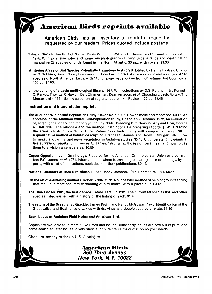## **American Birds reprints available**

**American Birds has an inventory of reprints frequently requested by our readers. Prices quoted include postage.** 

**Pelagic Birds in the Gulf of Maine. Davis W. Finch, William C. Russell and Edward V. Thompson. 1978. With extensive notes and numerous photographs of flying birds: a range and identification manual on 28 species of birds found in the North Atlantic. 30 pp., with covers. \$3.00** 

**Wintering Areas of Bird Species Potentially Hazardous to Aircraft. Edited by Danny Bystrak, Chandler S. Robbins, Susan Roney Drennan and Robert Arbib. 1974. A discussion of winter ranges of 140 species of North American birds, with 140 full page maps, drawn from Christmas Bird Count data. 156 pp. \$4.50.** 

**on the building of a basic ornithologicalibrary, 1977. With selections by O.S. Pettingill, Jr., Kenneth C. Parkes, Thomas R. Howell, Dale Zimmerman, Dean Amadon, et al. Choosing a basic library. The Master List of 65 titles. A selection of regional bird books. Reviews. 20 pp. \$1.45** 

#### **Instruction and interpretation reprints**

**The Audubon Winter. Bird Population Study, Haven Kolb..1965. How to make and report one. \$0.45. An appraisal of the Audubon Winter Bird. Population Study, Chandler S. Robbins. 1972. An evaluation of, and suggestions for perfecting your study. \$0.45. Breeding Bird Census, Why and How, George A. Hall. 1946. The rationale and the method. Instructions for preparing reports. \$0.45. Breeding Bird Census Instructions, Willet T. Van Velzen. 1972. Instructions, with sample manuscript. \$0.45. A quantitative method of habitat description, Frances C. James, and Henry H. Shugart. 1970. How to measure, quantify, and report vegetation in Audubon studies. \$0.45. On understanding quantitative surveys of vegetation, Frances C. James. 1978. What those numbers mean and how to use them to envision a census area. \$0.55.** 

**Career Opportunities in Ornithology. Prepared for the American Ornithologists' Union by a committee: F.C. James, et al. 1974. Information on where to seek degrees and jobs in ornithology, by experts, with a list of institutions, societies and their publications. \$0.45.** 

**National Directory of Rare Bird Alerts. Susan Roney Drennan. 1975, updated to 1976. \$0.45.** 

**On the art of estimating numbers. Robert Arbib. 1972. A successful method of self- or group teaching that results in more accurate estimating of bird flocks. With a photo quiz. \$0.45.** 

**The Blue List for 1981, the first decade. James Tate, Jr. 1981. The current 69-species list, and other species listed earlier, with a history of the listing of each. \$1.45.** 

**The return of the Great-tailed Grackle, James Pruitt and Nancy McGowan. 1975. Identification of the Great-tailed and Boat-tailed grackles with drawings and double-page color plate. \$1.35** 

**Back Issues of Audubon Field Notes and American Birds.** 

**Copies are available for almost all volumes and issues; some early issues are now out of print, and some scattered later issues in very short supply. Write us for quotation on your needs.** 

**Check or money order (in U.S. \$ only) to** 

**American Birds 950 Third Avenue New York, N.Y. 10022**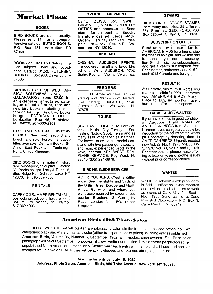## **Market Place**

#### **BOOKS**

**BIRD BOOKS are our specialty. Please send \$1., for a comprehensive catalog. BUTEO BOOKS, PO Box 481, Vermillion SD 57069.** 

**BOOKS on Birds and Natural History subjects, new and out-ofprint. Catalog \$1.50. PETERSEN BOOK CO., Box 966, Davenport, IA 52805.** 

**BIRDING EAST OR WEST AF-RICA, SOUTHEAST ASIA, THE GALAPAGOS? Send \$2.00 for an extensive, annotated catalogue of out of print, rare and new bird books (including latest foreign field guides). Bird books bought. PATRICIA LEDLIE- bookseller, Box 46, Buckfield, ME 04220, 207-336-2969.** 

**BIRD AND NATURAL HISTORY BOOKS. New and secondhand bought and sold. Foreign language htles available. Dernam Books, St. Arms, East Peckham, Tonbridge, Kent, United Kingdom.** 

**BIRD BOOKS, other natural history rare, out-of-print, color plate. Catalog \$2 Books bought. Larry J. Rusecki, Blue Ridge Rd., Schroon Lake, NY 12870. Tel: 518-532-7863.** 

#### **RENTALS**

**CAPE COD SUMMER RENTAL: 3 br, overlooking duck pond, fields, woods, 314 mi. to beach, \$1500Imo. 617-362-4993.** 

#### **OPTICAL EQUIPMENT**

**LEITZ, ZEISS, B&L, SWIFT, BUSHNELL, NIKON, OPTOLYTH OPTICS and accessories. Send stamp for discount list. Specify literature desired. Large stock. Orders filled day received. Postpaid. BIRDING, Box 5-E, Amsterdam, NY 12010.** 

#### **BIRD ART**

**ORIGINAL AUDUBON PRINTS. Handcolored, small and large bird editions. Write AUDUBON, 9720 Spring Rdg. Ln., Vienna, VA 22180.** 

#### **FEEDERS**

**FEEDERS. America's finest squirrel, starling and grackle-proof feeders.**  Free catalog. DIALABIRD, **Chestnut Street, Westwood, NJ 07675.** 

#### **TOURS**

**SEAPLANE FLIGHTS to Fort Jefferson in the Dry Tortugas. See nesting Noddy, Sooty Terns and as many as 86 other species in transit. For lowest price, latest model seaplane with five passenger capacity, and most experienced pilots in the keys, contact KEY WEST SEA-PLANE SERVICE, Key West, FL 33040 (305) 294-6978.** 

#### **BIRDING GUIDE SERVICES**

**ALLEZ COURIERS. C'est la difference. See the sights and birds of the British Isles, Europe and North Africa. Go when and where you want accompanied by experienced courier. Brochure: 3, Coningsby Road, London N4 lEG, United Kingdom.** 

#### **STAMPS**

**BIRDS ON POSTAGE STAMPS from many countries. 25 different 35½. Free list. GEO. FORD, P.O Box 5203-A, Gulfport, Fla. 33737** 

#### **SUBSCRIPTION OFFER**

**Send us a new subscription for AMERICAN BIRDS for a friend, club member, oras a gift, and we add one free issue to your current subscription. Send us six new subscriptions, and get a year's subscription free Send names, addresses, and \$15 for each (\$18 Canada and foreign).** 

#### **RESULTS!**

**At \$3 a word, minimum 10 words, you reach a possible 31,000 readers w•th your AMERICAN BIRDS Market Place ad. Buy, sell, job hunt, talent hunt, rent, offer, seek, dispose!** 

#### **BACK ISSUES WANTED**

**If you have copies in good condition of Audubon Field Notes or AMERICAN BIRDS from Volume 1, Number 1, you can get a valuable tax deduction for their current total worth plus postage by donating them to AMERICAN BIRDS. Urgently needed now, Vol. 29, No. 1,1975; Vol. 30, No 3, 1976; Vol. 33, Nos. 5 and 6, 1979 For other issues, please make offering by letter only; send no other issues without prior correspondence.** 

#### **WANTED**

**WANTED: Individuals with proficiency in field identification, avian research and environmental education to work as interns at Cape May, NJ, Sept-Nov., 1982. Send resume to: Cape May Bird Observatory, P.O. Box 3, Cape May Pt., NJ 08212.** 

#### **American Birds ]982 Photo Salon**

**IF INTEREST WARRANTS we will publish a photography salon similar to those published previously. Two categories: black and white prints, and color (either tansparencies or prints). Winning entries published in American Birds, Volume 36, Number 5, September 1982, with modest cash awards. First Prize color**  photograph will be our September front cover if it allows vertical orientation. Limit, 6 entries per photographer, **unpublished North American material only. Clearly mark each entry with name and address, and enclose stamped return envelope. All entries will be acknowledged and returned after judging or use.** 

#### **Deadline for entries: July 15, 1982 Address: Photo Salon, American Birds, 950 Third Avenue, New York, NY 10022.**